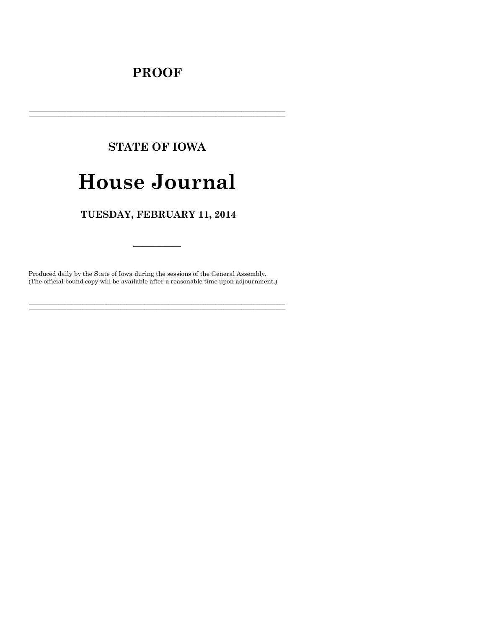# **PROOF**

# **STATE OF IOWA**

# **House Journal**

# TUESDAY, FEBRUARY 11, 2014

Produced daily by the State of Iowa during the sessions of the General Assembly. (The official bound copy will be available after a reasonable time upon adjournment.)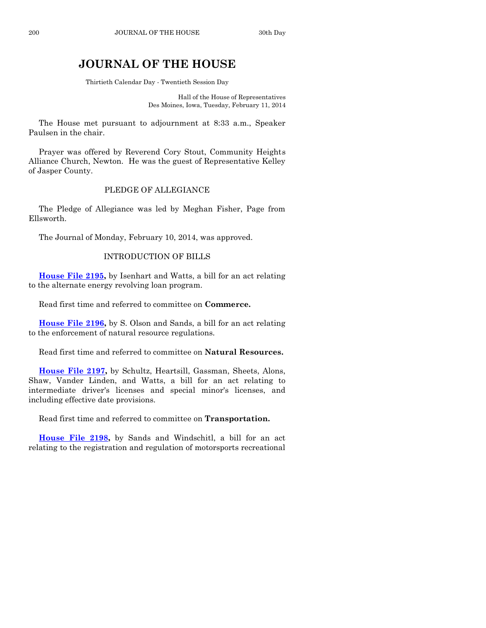# **JOURNAL OF THE HOUSE**

Thirtieth Calendar Day - Twentieth Session Day

Hall of the House of Representatives Des Moines, Iowa, Tuesday, February 11, 2014

The House met pursuant to adjournment at 8:33 a.m., Speaker Paulsen in the chair.

Prayer was offered by Reverend Cory Stout, Community Heights Alliance Church, Newton. He was the guest of Representative Kelley of Jasper County.

# PLEDGE OF ALLEGIANCE

The Pledge of Allegiance was led by Meghan Fisher, Page from Ellsworth.

The Journal of Monday, February 10, 2014, was approved.

# INTRODUCTION OF BILLS

**[House File 2195,](http://coolice.legis.iowa.gov/Cool-ICE/default.asp?Category=billinfo&Service=Billbook&frame=1&GA=85&hbill=HF2195)** by Isenhart and Watts, a bill for an act relating to the alternate energy revolving loan program.

Read first time and referred to committee on **Commerce.**

**[House File 2196,](http://coolice.legis.iowa.gov/Cool-ICE/default.asp?Category=billinfo&Service=Billbook&frame=1&GA=85&hbill=HF2196)** by S. Olson and Sands, a bill for an act relating to the enforcement of natural resource regulations.

Read first time and referred to committee on **Natural Resources.**

**[House File 2197,](http://coolice.legis.iowa.gov/Cool-ICE/default.asp?Category=billinfo&Service=Billbook&frame=1&GA=85&hbill=HF2197)** by Schultz, Heartsill, Gassman, Sheets, Alons, Shaw, Vander Linden, and Watts, a bill for an act relating to intermediate driver's licenses and special minor's licenses, and including effective date provisions.

Read first time and referred to committee on **Transportation.**

**[House File 2198,](http://coolice.legis.iowa.gov/Cool-ICE/default.asp?Category=billinfo&Service=Billbook&frame=1&GA=85&hbill=HF2198)** by Sands and Windschitl, a bill for an act relating to the registration and regulation of motorsports recreational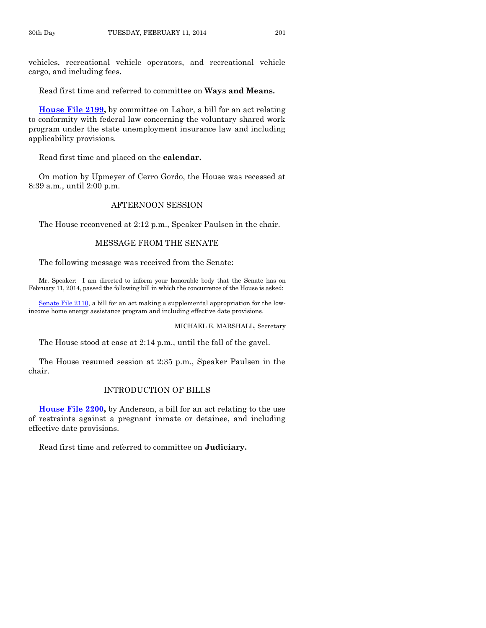vehicles, recreational vehicle operators, and recreational vehicle cargo, and including fees.

Read first time and referred to committee on **Ways and Means.**

**[House File 2199,](http://coolice.legis.iowa.gov/Cool-ICE/default.asp?Category=billinfo&Service=Billbook&frame=1&GA=85&hbill=HF2199)** by committee on Labor, a bill for an act relating to conformity with federal law concerning the voluntary shared work program under the state unemployment insurance law and including applicability provisions.

Read first time and placed on the **calendar.**

On motion by Upmeyer of Cerro Gordo, the House was recessed at 8:39 a.m., until 2:00 p.m.

# AFTERNOON SESSION

The House reconvened at 2:12 p.m., Speaker Paulsen in the chair.

# MESSAGE FROM THE SENATE

The following message was received from the Senate:

Mr. Speaker: I am directed to inform your honorable body that the Senate has on February 11, 2014, passed the following bill in which the concurrence of the House is asked:

[Senate File 2110,](http://coolice.legis.iowa.gov/Cool-ICE/default.asp?Category=billinfo&Service=Billbook&frame=1&GA=85&hbill=SF2110) a bill for an act making a supplemental appropriation for the lowincome home energy assistance program and including effective date provisions.

MICHAEL E. MARSHALL, Secretary

The House stood at ease at 2:14 p.m., until the fall of the gavel.

The House resumed session at 2:35 p.m., Speaker Paulsen in the chair.

# INTRODUCTION OF BILLS

**[House File 2200,](http://coolice.legis.iowa.gov/Cool-ICE/default.asp?Category=billinfo&Service=Billbook&frame=1&GA=85&hbill=HF2200)** by Anderson, a bill for an act relating to the use of restraints against a pregnant inmate or detainee, and including effective date provisions.

Read first time and referred to committee on **Judiciary.**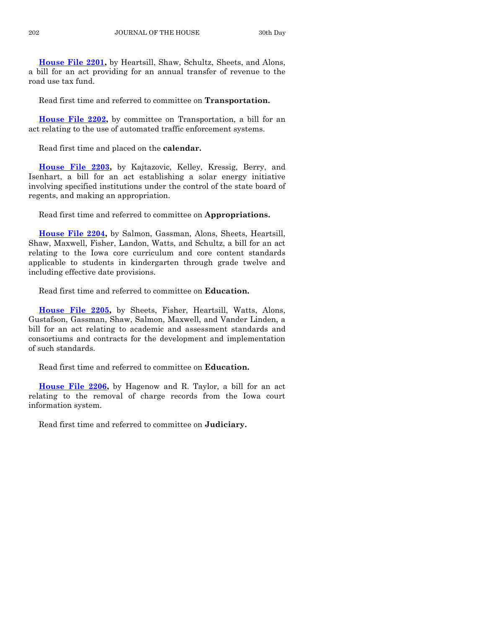**[House File 2201,](http://coolice.legis.iowa.gov/Cool-ICE/default.asp?Category=billinfo&Service=Billbook&frame=1&GA=85&hbill=HF2201)** by Heartsill, Shaw, Schultz, Sheets, and Alons, a bill for an act providing for an annual transfer of revenue to the road use tax fund.

Read first time and referred to committee on **Transportation.**

**[House File 2202,](http://coolice.legis.iowa.gov/Cool-ICE/default.asp?Category=billinfo&Service=Billbook&frame=1&GA=85&hbill=HF2202)** by committee on Transportation, a bill for an act relating to the use of automated traffic enforcement systems.

Read first time and placed on the **calendar.**

**[House File 2203,](http://coolice.legis.iowa.gov/Cool-ICE/default.asp?Category=billinfo&Service=Billbook&frame=1&GA=85&hbill=HF2203)** by Kajtazovic, Kelley, Kressig, Berry, and Isenhart, a bill for an act establishing a solar energy initiative involving specified institutions under the control of the state board of regents, and making an appropriation.

Read first time and referred to committee on **Appropriations.**

**[House File 2204,](http://coolice.legis.iowa.gov/Cool-ICE/default.asp?Category=billinfo&Service=Billbook&frame=1&GA=85&hbill=HF2204)** by Salmon, Gassman, Alons, Sheets, Heartsill, Shaw, Maxwell, Fisher, Landon, Watts, and Schultz, a bill for an act relating to the Iowa core curriculum and core content standards applicable to students in kindergarten through grade twelve and including effective date provisions.

Read first time and referred to committee on **Education.**

**[House File 2205,](http://coolice.legis.iowa.gov/Cool-ICE/default.asp?Category=billinfo&Service=Billbook&frame=1&GA=85&hbill=HF2205)** by Sheets, Fisher, Heartsill, Watts, Alons, Gustafson, Gassman, Shaw, Salmon, Maxwell, and Vander Linden, a bill for an act relating to academic and assessment standards and consortiums and contracts for the development and implementation of such standards.

Read first time and referred to committee on **Education.**

**[House File 2206,](http://coolice.legis.iowa.gov/Cool-ICE/default.asp?Category=billinfo&Service=Billbook&frame=1&GA=85&hbill=HF2206)** by Hagenow and R. Taylor, a bill for an act relating to the removal of charge records from the Iowa court information system.

Read first time and referred to committee on **Judiciary.**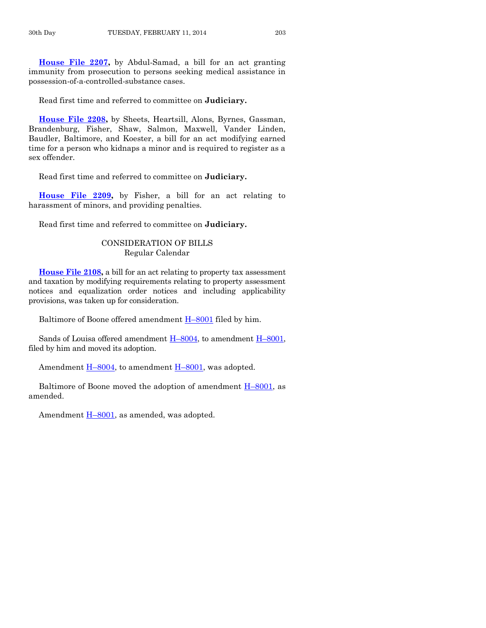**[House File 2207,](http://coolice.legis.iowa.gov/Cool-ICE/default.asp?Category=billinfo&Service=Billbook&frame=1&GA=85&hbill=HF2207)** by Abdul-Samad, a bill for an act granting immunity from prosecution to persons seeking medical assistance in possession-of-a-controlled-substance cases.

Read first time and referred to committee on **Judiciary.**

**[House File 2208,](http://coolice.legis.iowa.gov/Cool-ICE/default.asp?Category=billinfo&Service=Billbook&frame=1&GA=85&hbill=HF2208)** by Sheets, Heartsill, Alons, Byrnes, Gassman, Brandenburg, Fisher, Shaw, Salmon, Maxwell, Vander Linden, Baudler, Baltimore, and Koester, a bill for an act modifying earned time for a person who kidnaps a minor and is required to register as a sex offender.

Read first time and referred to committee on **Judiciary.**

**[House File 2209,](http://coolice.legis.iowa.gov/Cool-ICE/default.asp?Category=billinfo&Service=Billbook&frame=1&GA=85&hbill=HF2209)** by Fisher, a bill for an act relating to harassment of minors, and providing penalties.

Read first time and referred to committee on **Judiciary.**

# CONSIDERATION OF BILLS Regular Calendar

**[House File 2108,](http://coolice.legis.iowa.gov/Cool-ICE/default.asp?Category=billinfo&Service=Billbook&frame=1&GA=85&hbill=HF2108)** a bill for an act relating to property tax assessment and taxation by modifying requirements relating to property assessment notices and equalization order notices and including applicability provisions, was taken up for consideration.

Baltimore of Boone offered amendment H–[8001](http://coolice.legis.iowa.gov/Cool-ICE/default.asp?Category=billinfo&Service=Billbook&frame=1&GA=85&hbill=H8001) filed by him.

Sands of Louisa offered amendment H–[8004,](http://coolice.legis.iowa.gov/Cool-ICE/default.asp?Category=billinfo&Service=Billbook&frame=1&GA=85&hbill=H8004) to amendment H–[8001,](http://coolice.legis.iowa.gov/Cool-ICE/default.asp?Category=billinfo&Service=Billbook&frame=1&GA=85&hbill=H8001) filed by him and moved its adoption.

Amendment H–[8004,](http://coolice.legis.iowa.gov/Cool-ICE/default.asp?Category=billinfo&Service=Billbook&frame=1&GA=85&hbill=H8004) to amendment H–[8001,](http://coolice.legis.iowa.gov/Cool-ICE/default.asp?Category=billinfo&Service=Billbook&frame=1&GA=85&hbill=H8001) was adopted.

Baltimore of Boone moved the adoption of amendment  $H-8001$ , as amended.

Amendment  $H-8001$ , as amended, was adopted.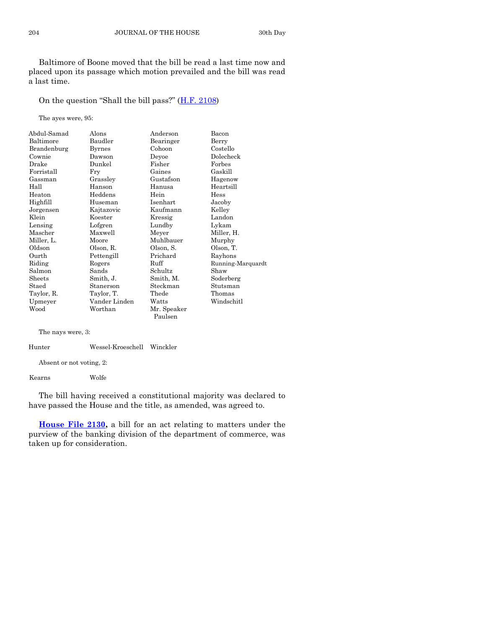Baltimore of Boone moved that the bill be read a last time now and placed upon its passage which motion prevailed and the bill was read a last time.

On the question "Shall the bill pass?" ([H.F. 2108\)](http://coolice.legis.iowa.gov/Cool-ICE/default.asp?Category=billinfo&Service=Billbook&frame=1&GA=85&hbill=HF2108)

The ayes were, 95:

| Abdul-Samad | Alons         | Anderson    | Bacon             |
|-------------|---------------|-------------|-------------------|
| Baltimore   | Baudler       | Bearinger   | Berry             |
| Brandenburg | <b>Byrnes</b> | Cohoon      | Costello          |
| Cownie      | Dawson        | Devoe       | Dolecheck         |
| Drake       | Dunkel        | Fisher      | Forbes            |
| Forristall  | Fry           | Gaines      | Gaskill           |
| Gassman     | Grassley      | Gustafson   | Hagenow           |
| Hall        | Hanson        | Hanusa      | Heartsill         |
| Heaton      | Heddens       | Hein        | Hess              |
| Highfill    | Huseman       | Isenhart    | Jacoby            |
| Jorgensen   | Kajtazovic    | Kaufmann    | Kelley            |
| Klein       | Koester       | Kressig     | Landon            |
| Lensing     | Lofgren       | Lundby      | Lykam             |
| Mascher     | Maxwell       | Meyer       | Miller, H.        |
| Miller, L.  | Moore         | Muhlbauer   | Murphy            |
| Oldson      | Olson, R.     | Olson, S.   | Olson, T.         |
| Ourth       | Pettengill    | Prichard    | Rayhons           |
| Riding      | Rogers        | Ruff        | Running-Marquardt |
| Salmon      | Sands         | Schultz     | Shaw              |
| Sheets      | Smith, J.     | Smith, M.   | Soderberg         |
| Staed       | Stanerson     | Steckman    | Stutsman          |
| Taylor, R.  | Taylor, T.    | Thede       | Thomas            |
| Upmeyer     | Vander Linden | Watts       | Windschitl        |
| Wood        | Worthan       | Mr. Speaker |                   |
|             |               | Paulsen     |                   |

The nays were, 3:

Hunter Wessel-Kroeschell Winckler

Absent or not voting, 2:

Kearns Wolfe

The bill having received a constitutional majority was declared to have passed the House and the title, as amended, was agreed to.

**[House File 2130,](http://coolice.legis.iowa.gov/Cool-ICE/default.asp?Category=billinfo&Service=Billbook&frame=1&GA=85&hbill=HF2130)** a bill for an act relating to matters under the purview of the banking division of the department of commerce, was taken up for consideration.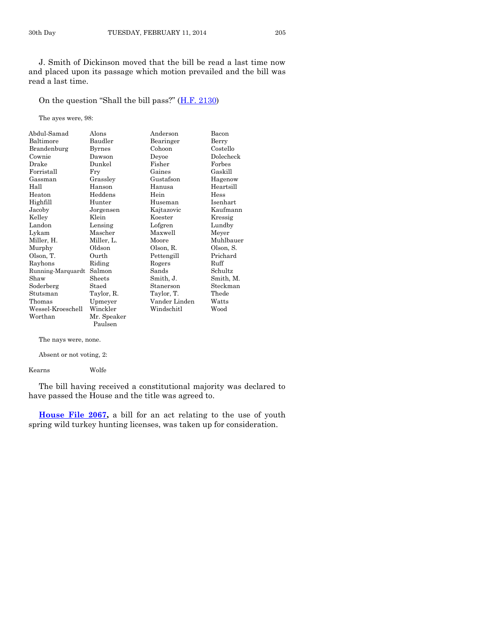J. Smith of Dickinson moved that the bill be read a last time now and placed upon its passage which motion prevailed and the bill was read a last time.

On the question "Shall the bill pass?" ([H.F. 2130\)](http://coolice.legis.iowa.gov/Cool-ICE/default.asp?Category=billinfo&Service=Billbook&frame=1&GA=85&hbill=HF2130)

The ayes were, 98:

| Abdul-Samad       | Alons         | Anderson      | Bacon     |
|-------------------|---------------|---------------|-----------|
| Baltimore         | Baudler       | Bearinger     | Berry     |
| Brandenburg       | <b>Byrnes</b> | Cohoon        | Costello  |
| Cownie            | Dawson        | Devoe         | Dolecheck |
| Drake             | Dunkel        | Fisher        | Forbes    |
| Forristall        | Fry           | Gaines        | Gaskill   |
| Gassman           | Grassley      | Gustafson     | Hagenow   |
| Hall              | Hanson        | Hanusa        | Heartsill |
| Heaton            | Heddens       | Hein          | Hess      |
| Highfill          | Hunter        | Huseman       | Isenhart  |
| Jacoby            | Jorgensen     | Kajtazovic    | Kaufmann  |
| Kelley            | Klein         | Koester       | Kressig   |
| Landon            | Lensing       | Lofgren       | Lundby    |
| Lykam             | Mascher       | Maxwell       | Meyer     |
| Miller, H.        | Miller, L.    | Moore         | Muhlbauer |
| Murphy            | Oldson        | Olson, R.     | Olson, S. |
| Olson, T.         | Ourth         | Pettengill    | Prichard  |
| Rayhons           | Riding        | Rogers        | Ruff      |
| Running-Marquardt | Salmon        | Sands         | Schultz   |
| Shaw              | Sheets        | Smith, J.     | Smith, M. |
| Soderberg         | Staed         | Stanerson     | Steckman  |
| Stutsman          | Taylor, R.    | Taylor, T.    | Thede     |
| Thomas            | Upmeyer       | Vander Linden | Watts     |
| Wessel-Kroeschell | Winckler      | Windschitl    | Wood      |
| Worthan           | Mr. Speaker   |               |           |
|                   | Paulsen       |               |           |

The nays were, none.

Absent or not voting, 2:

Kearns Wolfe

The bill having received a constitutional majority was declared to have passed the House and the title was agreed to.

**[House File 2067,](http://coolice.legis.iowa.gov/Cool-ICE/default.asp?Category=billinfo&Service=Billbook&frame=1&GA=85&hbill=HF2067)** a bill for an act relating to the use of youth spring wild turkey hunting licenses, was taken up for consideration.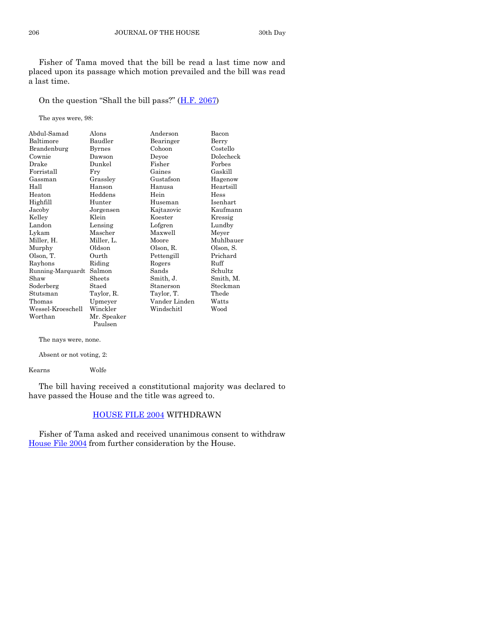Fisher of Tama moved that the bill be read a last time now and placed upon its passage which motion prevailed and the bill was read a last time.

On the question "Shall the bill pass?" ([H.F. 2067\)](http://coolice.legis.iowa.gov/Cool-ICE/default.asp?Category=billinfo&Service=Billbook&frame=1&GA=85&hbill=HF2067)

The ayes were, 98:

| Abdul-Samad       | Alons       | Anderson      | Bacon     |
|-------------------|-------------|---------------|-----------|
| Baltimore         | Baudler     | Bearinger     | Berry     |
| Brandenburg       | Byrnes      | Cohoon        | Costello  |
| Cownie            | Dawson      | Devoe         | Dolecheck |
| Drake             | Dunkel      | Fisher        | Forbes    |
| Forristall        | Fry         | Gaines        | Gaskill   |
| Gassman           | Grassley    | Gustafson     | Hagenow   |
| Hall              | Hanson      | Hanusa        | Heartsill |
| Heaton            | Heddens     | Hein          | Hess      |
| Highfill          | Hunter      | Huseman       | Isenhart  |
| Jacoby            | Jorgensen   | Kajtazovic    | Kaufmann  |
| Kelley            | Klein       | Koester       | Kressig   |
| Landon            | Lensing     | Lofgren       | Lundby    |
| Lykam             | Mascher     | Maxwell       | Meyer     |
| Miller, H.        | Miller, L.  | Moore         | Muhlbauer |
| Murphy            | Oldson      | Olson, R.     | Olson, S. |
| Olson, T.         | Ourth       | Pettengill    | Prichard  |
| Rayhons           | Riding      | Rogers        | Ruff      |
| Running-Marquardt | Salmon      | Sands         | Schultz   |
| Shaw              | Sheets      | Smith, J.     | Smith, M. |
| Soderberg         | Staed       | Stanerson     | Steckman  |
| Stutsman          | Taylor, R.  | Taylor, T.    | Thede     |
| Thomas            | Upmeyer     | Vander Linden | Watts     |
| Wessel-Kroeschell | Winckler    | Windschitl    | Wood      |
| Worthan           | Mr. Speaker |               |           |
|                   | Paulsen     |               |           |

The nays were, none.

Absent or not voting, 2:

Kearns Wolfe

The bill having received a constitutional majority was declared to have passed the House and the title was agreed to.

# [HOUSE FILE 2004](http://coolice.legis.iowa.gov/Cool-ICE/default.asp?Category=billinfo&Service=Billbook&frame=1&GA=85&hbill=HF2004) WITHDRAWN

Fisher of Tama asked and received unanimous consent to withdraw [House File 2004](http://coolice.legis.iowa.gov/Cool-ICE/default.asp?Category=billinfo&Service=Billbook&frame=1&GA=85&hbill=HF2004) from further consideration by the House.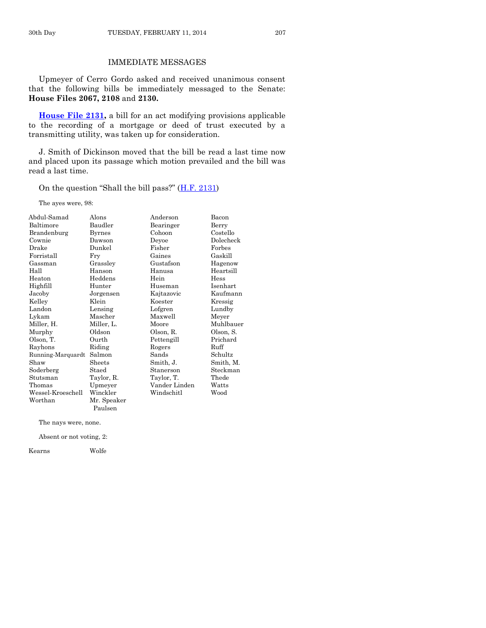# IMMEDIATE MESSAGES

Upmeyer of Cerro Gordo asked and received unanimous consent that the following bills be immediately messaged to the Senate: **House Files 2067, 2108** and **2130.**

**[House File 2131,](http://coolice.legis.iowa.gov/Cool-ICE/default.asp?Category=billinfo&Service=Billbook&frame=1&GA=85&hbill=HF2131)** a bill for an act modifying provisions applicable to the recording of a mortgage or deed of trust executed by a transmitting utility, was taken up for consideration.

J. Smith of Dickinson moved that the bill be read a last time now and placed upon its passage which motion prevailed and the bill was read a last time.

On the question "Shall the bill pass?" ([H.F. 2131\)](http://coolice.legis.iowa.gov/Cool-ICE/default.asp?Category=billinfo&Service=Billbook&frame=1&GA=85&hbill=HF2131)

The ayes were, 98:

| Abdul-Samad       | Alons         | Anderson      | Bacon     |
|-------------------|---------------|---------------|-----------|
| Baltimore         | Baudler       | Bearinger     | Berry     |
| Brandenburg       | <b>Byrnes</b> | Cohoon        | Costello  |
| Cownie            | Dawson        | Deyoe         | Dolecheck |
| Drake             | Dunkel        | Fisher        | Forbes    |
| Forristall        | Fry           | Gaines        | Gaskill   |
| Gassman           | Grassley      | Gustafson     | Hagenow   |
| Hall              | Hanson        | Hanusa        | Heartsill |
| Heaton            | Heddens       | Hein          | Hess      |
| Highfill          | Hunter        | Huseman       | Isenhart  |
| Jacoby            | Jorgensen     | Kajtazovic    | Kaufmann  |
| Kelley            | Klein         | Koester       | Kressig   |
| Landon            | Lensing       | Lofgren       | Lundby    |
| Lykam             | Mascher       | Maxwell       | Meyer     |
| Miller, H.        | Miller, L.    | Moore         | Muhlbauer |
| Murphy            | Oldson        | Olson, R.     | Olson, S. |
| Olson, T.         | Ourth         | Pettengill    | Prichard  |
| Rayhons           | Riding        | Rogers        | Ruff      |
| Running-Marquardt | Salmon        | Sands         | Schultz   |
| Shaw              | Sheets        | Smith, J.     | Smith, M. |
| Soderberg         | Staed         | Stanerson     | Steckman  |
| Stutsman          | Taylor, R.    | Taylor, T.    | Thede     |
| Thomas            | Upmeyer       | Vander Linden | Watts     |
| Wessel-Kroeschell | Winckler      | Windschitl    | Wood      |
| Worthan           | Mr. Speaker   |               |           |
|                   | Paulsen       |               |           |

The nays were, none.

Absent or not voting, 2:

Kearns Wolfe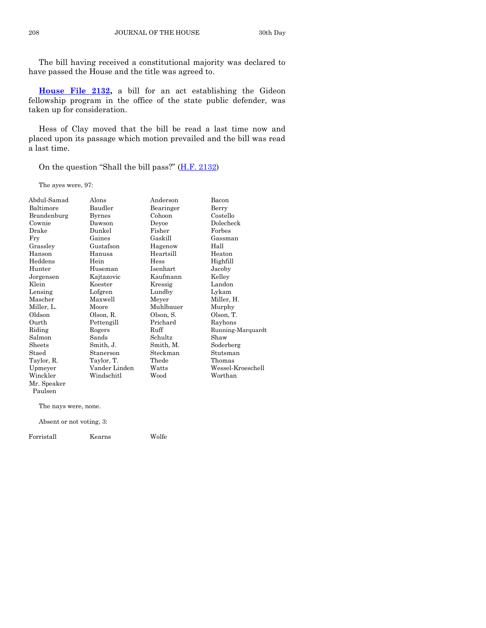The bill having received a constitutional majority was declared to have passed the House and the title was agreed to.

**[House File 2132,](http://coolice.legis.iowa.gov/Cool-ICE/default.asp?Category=billinfo&Service=Billbook&frame=1&GA=85&hbill=HF2132)** a bill for an act establishing the Gideon fellowship program in the office of the state public defender, was taken up for consideration.

Hess of Clay moved that the bill be read a last time now and placed upon its passage which motion prevailed and the bill was read a last time.

On the question "Shall the bill pass?" ([H.F. 2132\)](http://coolice.legis.iowa.gov/Cool-ICE/default.asp?Category=billinfo&Service=Billbook&frame=1&GA=85&hbill=HF2132)

The ayes were, 97:

| Abdul-Samad | Alons         | Anderson  | Bacon             |
|-------------|---------------|-----------|-------------------|
| Baltimore   | Baudler       | Bearinger | Berry             |
| Brandenburg | <b>Byrnes</b> | Cohoon    | Costello          |
| Cownie      | Dawson        | Deyoe     | Dolecheck         |
| Drake       | Dunkel        | Fisher    | Forbes            |
| Fry         | Gaines        | Gaskill   | Gassman           |
| Grassley    | Gustafson     | Hagenow   | Hall              |
| Hanson      | Hanusa        | Heartsill | Heaton            |
| Heddens     | Hein          | Hess      | Highfill          |
| Hunter      | Huseman       | Isenhart  | Jacoby            |
| Jorgensen   | Kajtazovic    | Kaufmann  | Kelley            |
| Klein       | Koester       | Kressig   | Landon            |
| Lensing     | Lofgren       | Lundby    | Lykam             |
| Mascher     | Maxwell       | Meyer     | Miller, H.        |
| Miller, L.  | Moore         | Muhlbauer | Murphy            |
| Oldson      | Olson, R.     | Olson, S. | Olson, T.         |
| Ourth       | Pettengill    | Prichard  | Rayhons           |
| Riding      | Rogers        | Ruff      | Running-Marquardt |
| Salmon      | Sands         | Schultz   | Shaw              |
| Sheets      | Smith, J.     | Smith, M. | Soderberg         |
| Staed       | Stanerson     | Steckman  | Stutsman          |
| Taylor, R.  | Taylor, T.    | Thede     | Thomas            |
| Upmeyer     | Vander Linden | Watts     | Wessel-Kroeschell |
| Winckler    | Windschitl    | Wood      | Worthan           |
| Mr. Speaker |               |           |                   |
| Paulsen     |               |           |                   |

The nays were, none.

Absent or not voting, 3:

Forristall Kearns Wolfe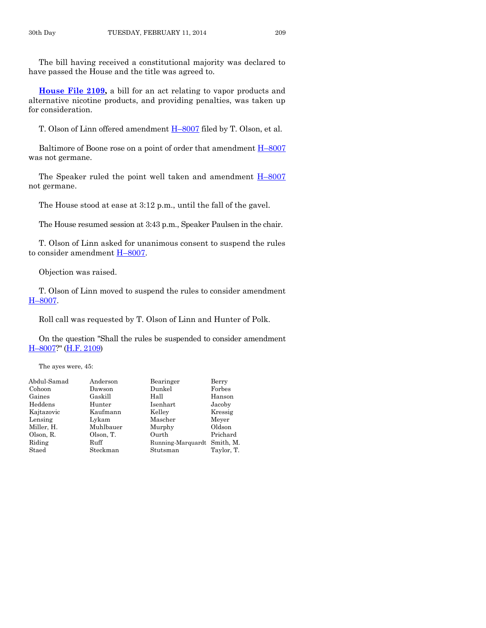The bill having received a constitutional majority was declared to have passed the House and the title was agreed to.

**[House File 2109,](http://coolice.legis.iowa.gov/Cool-ICE/default.asp?Category=billinfo&Service=Billbook&frame=1&GA=85&hbill=HF2109)** a bill for an act relating to vapor products and alternative nicotine products, and providing penalties, was taken up for consideration.

T. Olson of Linn offered amendment H–[8007](http://coolice.legis.iowa.gov/Cool-ICE/default.asp?Category=billinfo&Service=Billbook&frame=1&GA=85&hbill=H8007) filed by T. Olson, et al.

Baltimore of Boone rose on a point of order that amendment  $H$ –[8007](http://coolice.legis.iowa.gov/Cool-ICE/default.asp?Category=billinfo&Service=Billbook&frame=1&GA=85&hbill=H8007) was not germane.

The Speaker ruled the point well taken and amendment  $H$ –[8007](http://coolice.legis.iowa.gov/Cool-ICE/default.asp?Category=billinfo&Service=Billbook&frame=1&GA=85&hbill=H8007) not germane.

The House stood at ease at 3:12 p.m., until the fall of the gavel.

The House resumed session at 3:43 p.m., Speaker Paulsen in the chair.

T. Olson of Linn asked for unanimous consent to suspend the rules to consider amendment H–[8007.](http://coolice.legis.iowa.gov/Cool-ICE/default.asp?Category=billinfo&Service=Billbook&frame=1&GA=85&hbill=H8007)

Objection was raised.

T. Olson of Linn moved to suspend the rules to consider amendment H–[8007.](http://coolice.legis.iowa.gov/Cool-ICE/default.asp?Category=billinfo&Service=Billbook&frame=1&GA=85&hbill=H8007)

Roll call was requested by T. Olson of Linn and Hunter of Polk.

On the question "Shall the rules be suspended to consider amendment H–[8007?](http://coolice.legis.iowa.gov/Cool-ICE/default.asp?Category=billinfo&Service=Billbook&frame=1&GA=85&hbill=H8007)" [\(H.F. 2109\)](http://coolice.legis.iowa.gov/Cool-ICE/default.asp?Category=billinfo&Service=Billbook&frame=1&GA=85&hbill=HF2109)

The ayes were, 45:

| Abdul-Samad | Anderson  | Bearinger                   | Berry      |
|-------------|-----------|-----------------------------|------------|
| Cohoon      | Dawson    | Dunkel                      | Forbes     |
| Gaines      | Gaskill   | Hall                        | Hanson     |
| Heddens     | Hunter    | Isenhart                    | Jacoby     |
| Kajtazovic  | Kaufmann  | Kelley                      | Kressig    |
| Lensing     | Lykam     | Mascher                     | Meyer      |
| Miller, H.  | Muhlbauer | Murphy                      | Oldson     |
| Olson, R.   | Olson, T. | Ourth                       | Prichard   |
| Riding      | Ruff      | Running-Marquardt Smith, M. |            |
| Staed       | Steckman  | Stutsman                    | Taylor, T. |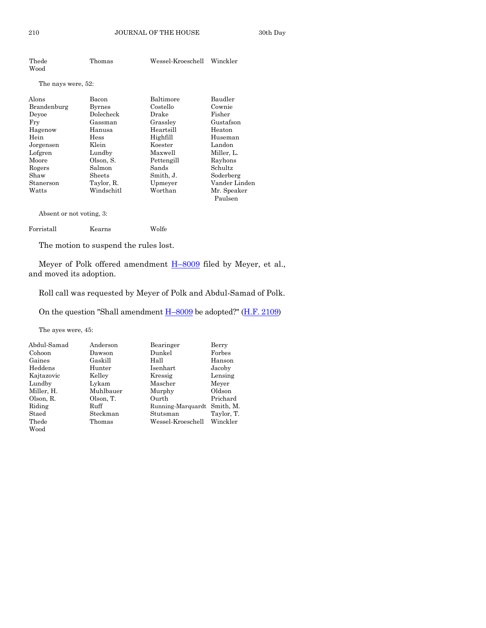| Thede              | Thomas        | Wessel-Kroeschell | Winckler      |
|--------------------|---------------|-------------------|---------------|
| Wood               |               |                   |               |
| The nays were, 52: |               |                   |               |
| Alons              | Bacon         | Baltimore         | Baudler       |
| Brandenburg        | <b>Byrnes</b> | Costello          | Cownie        |
| Deyoe              | Dolecheck     | Drake             | Fisher        |
| Fry                | Gassman       | Grassley          | Gustafson     |
| Hagenow            | Hanusa        | Heartsill         | Heaton        |
| Hein               | Hess          | Highfill          | Huseman       |
| Jorgensen          | Klein         | Koester           | Landon        |
| Lofgren            | Lundby        | Maxwell           | Miller, L.    |
| Moore              | Olson, S.     | Pettengill        | Rayhons       |
| Rogers             | Salmon        | Sands             | Schultz       |
| Shaw               | Sheets        | Smith, J.         | Soderberg     |
| Stanerson          | Taylor, R.    | Upmeyer           | Vander Linden |
| Watts              | Windschitl    | Worthan           | Mr. Speaker   |
|                    |               |                   | Paulsen       |

Absent or not voting, 3:

| Forristall | Kearns | Wolfe |
|------------|--------|-------|
|            |        |       |

The motion to suspend the rules lost.

Meyer of Polk offered amendment **H**-[8009](http://coolice.legis.iowa.gov/Cool-ICE/default.asp?Category=billinfo&Service=Billbook&frame=1&GA=85&hbill=H8009) filed by Meyer, et al., and moved its adoption.

Roll call was requested by Meyer of Polk and Abdul-Samad of Polk.

On the question "Shall amendment H–[8009](http://coolice.legis.iowa.gov/Cool-ICE/default.asp?Category=billinfo&Service=Billbook&frame=1&GA=85&hbill=H8009) be adopted?" [\(H.F. 2109\)](http://coolice.legis.iowa.gov/Cool-ICE/default.asp?Category=billinfo&Service=Billbook&frame=1&GA=85&hbill=HF2109)

The ayes were, 45:

| Abdul-Samad | Anderson  | Bearinger         | Berry      |
|-------------|-----------|-------------------|------------|
| Cohoon      | Dawson    | Dunkel            | Forbes     |
| Gaines      | Gaskill   | Hall              | Hanson     |
| Heddens     | Hunter    | Isenhart          | Jacoby     |
| Kajtazovic  | Kelley    | Kressig           | Lensing    |
| Lundby      | Lykam     | Mascher           | Meyer      |
| Miller, H.  | Muhlbauer | Murphy            | Oldson     |
| Olson, R.   | Olson, T. | Ourth             | Prichard   |
| Riding      | Ruff      | Running-Marquardt | Smith. M.  |
| Staed       | Steckman  | Stutsman          | Taylor, T. |
| Thede       | Thomas    | Wessel-Kroeschell | Winckler   |
| Wood        |           |                   |            |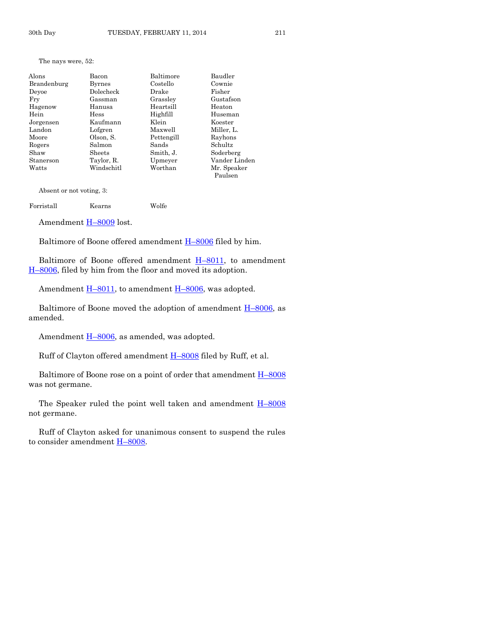| Alons       | Bacon       | Baltimore  | Baudler       |
|-------------|-------------|------------|---------------|
| Brandenburg | Byrnes      | Costello   | Cownie        |
| Deyoe       | Dolecheck   | Drake      | Fisher        |
| Fry         | Gassman     | Grassley   | Gustafson     |
| Hagenow     | Hanusa      | Heartsill  | Heaton        |
| Hein        | <b>Hess</b> | Highfill   | Huseman       |
| Jorgensen   | Kaufmann    | Klein      | Koester       |
| Landon      | Lofgren     | Maxwell    | Miller, L.    |
| Moore       | Olson, S.   | Pettengill | Rayhons       |
| Rogers      | Salmon      | Sands      | Schultz.      |
| Shaw        | Sheets      | Smith, J.  | Soderberg     |
| Stanerson   | Taylor, R.  | Upmeyer    | Vander Linden |
| Watts       | Windschitl  | Worthan    | Mr. Speaker   |
|             |             |            | Paulsen       |

Absent or not voting, 3:

Forristall Kearns Wolfe

Amendment H–[8009](http://coolice.legis.iowa.gov/Cool-ICE/default.asp?Category=billinfo&Service=Billbook&frame=1&GA=85&hbill=H8009) lost.

Baltimore of Boone offered amendment H–[8006](http://coolice.legis.iowa.gov/Cool-ICE/default.asp?Category=billinfo&Service=Billbook&frame=1&GA=85&hbill=H8006) filed by him.

Baltimore of Boone offered amendment  $H-8011$ , to amendment H–[8006,](http://coolice.legis.iowa.gov/Cool-ICE/default.asp?Category=billinfo&Service=Billbook&frame=1&GA=85&hbill=H8006) filed by him from the floor and moved its adoption.

Amendment  $\underline{H-8011}$ , to amendment  $\underline{H-8006}$ , was adopted.

Baltimore of Boone moved the adoption of amendment  $H-8006$ , as amended.

Amendment H–[8006,](http://coolice.legis.iowa.gov/Cool-ICE/default.asp?Category=billinfo&Service=Billbook&frame=1&GA=85&hbill=H8006) as amended, was adopted.

Ruff of Clayton offered amendment  $H$ –[8008](http://coolice.legis.iowa.gov/Cool-ICE/default.asp?Category=billinfo&Service=Billbook&frame=1&GA=85&hbill=H8008) filed by Ruff, et al.

Baltimore of Boone rose on a point of order that amendment  $H$ –[8008](http://coolice.legis.iowa.gov/Cool-ICE/default.asp?Category=billinfo&Service=Billbook&frame=1&GA=85&hbill=H8008) was not germane.

The Speaker ruled the point well taken and amendment  $H$ –[8008](http://coolice.legis.iowa.gov/Cool-ICE/default.asp?Category=billinfo&Service=Billbook&frame=1&GA=85&hbill=H8008) not germane.

Ruff of Clayton asked for unanimous consent to suspend the rules to consider amendment H–[8008.](http://coolice.legis.iowa.gov/Cool-ICE/default.asp?Category=billinfo&Service=Billbook&frame=1&GA=85&hbill=H8008)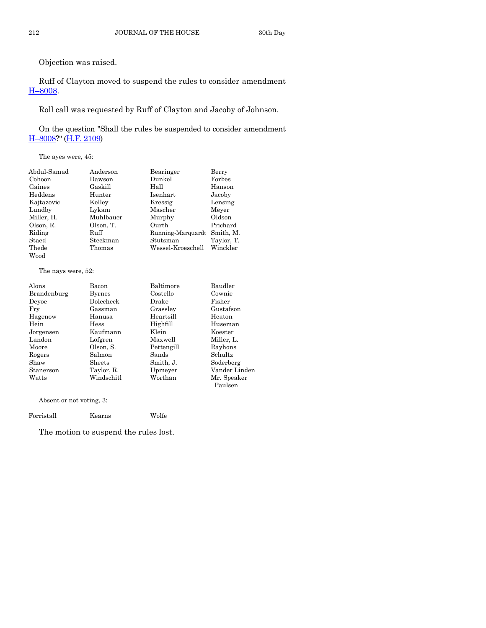Objection was raised.

Ruff of Clayton moved to suspend the rules to consider amendment H–[8008.](http://coolice.legis.iowa.gov/Cool-ICE/default.asp?Category=billinfo&Service=Billbook&frame=1&GA=85&hbill=H8008)

Roll call was requested by Ruff of Clayton and Jacoby of Johnson.

On the question "Shall the rules be suspended to consider amendment H–[8008?](http://coolice.legis.iowa.gov/Cool-ICE/default.asp?Category=billinfo&Service=Billbook&frame=1&GA=85&hbill=H8008)" [\(H.F. 2109\)](http://coolice.legis.iowa.gov/Cool-ICE/default.asp?Category=billinfo&Service=Billbook&frame=1&GA=85&hbill=HF2109)

The ayes were, 45:

| Abdul-Samad | Anderson  | Bearinger         | Berry      |
|-------------|-----------|-------------------|------------|
| Cohoon      | Dawson    | Dunkel            | Forbes     |
| Gaines      | Gaskill   | Hall              | Hanson     |
| Heddens     | Hunter    | Isenhart          | Jacoby     |
| Kajtazovic  | Kelley    | Kressig           | Lensing    |
| Lundby      | Lykam     | Mascher           | Meyer      |
| Miller, H.  | Muhlbauer | Murphy            | Oldson     |
| Olson, R.   | Olson, T. | Ourth             | Prichard   |
| Riding      | Ruff      | Running-Marquardt | Smith, M.  |
| Staed       | Steckman  | Stutsman          | Taylor, T. |
| Thede       | Thomas    | Wessel-Kroeschell | Winckler   |
| Wood        |           |                   |            |

The nays were, 52:

| Alons       | Bacon         | Baltimore  | Baudler       |
|-------------|---------------|------------|---------------|
| Brandenburg | <b>Byrnes</b> | Costello   | Cownie        |
| Deyoe       | Dolecheck     | Drake      | Fisher        |
| Fry         | Gassman       | Grasslev   | Gustafson     |
| Hagenow     | Hanusa        | Heartsill  | Heaton        |
| Hein        | <b>Hess</b>   | Highfill   | Huseman       |
| Jorgensen   | Kaufmann      | Klein      | Koester       |
| Landon      | Lofgren       | Maxwell    | Miller, L.    |
| Moore       | Olson, S.     | Pettengill | Rayhons       |
| Rogers      | Salmon        | Sands      | Schultz       |
| Shaw        | Sheets        | Smith, J.  | Soderberg     |
| Stanerson   | Taylor, R.    | Upmeyer    | Vander Linden |
| Watts       | Windschitl    | Worthan    | Mr. Speaker   |
|             |               |            | Paulsen       |

Absent or not voting, 3:

Forristall Kearns Wolfe

The motion to suspend the rules lost.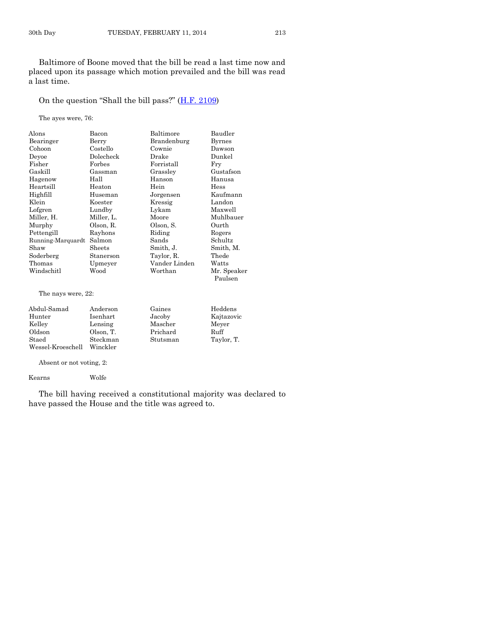Baltimore of Boone moved that the bill be read a last time now and placed upon its passage which motion prevailed and the bill was read a last time.

On the question "Shall the bill pass?"  $(H.F. 2109)$  $(H.F. 2109)$ 

The ayes were, 76:

| Alons             | Bacon      | Baltimore     | Baudler     |
|-------------------|------------|---------------|-------------|
| Bearinger         | Berry      | Brandenburg   | Byrnes      |
| Cohoon            | Costello   | Cownie        | Dawson      |
| Devoe             | Dolecheck  | Drake         | Dunkel      |
| Fisher            | Forbes     | Forristall    | Fry         |
| Gaskill           | Gassman    | Grasslev      | Gustafson   |
| Hagenow           | Hall       | Hanson        | Hanusa      |
| Heartsill         | Heaton     | Hein          | Hess        |
| Highfill          | Huseman    | Jorgensen     | Kaufmann    |
| Klein             | Koester    | Kressig       | Landon      |
| Lofgren           | Lundby     | Lykam         | Maxwell     |
| Miller, H.        | Miller, L. | Moore         | Muhlbauer   |
| Murphy            | Olson, R.  | Olson, S.     | Ourth       |
| Pettengill        | Rayhons    | Riding        | Rogers      |
| Running-Marquardt | Salmon     | Sands         | Schultz     |
| Shaw              | Sheets     | Smith, J.     | Smith, M.   |
| Soderberg         | Stanerson  | Taylor, R.    | Thede       |
| Thomas            | Upmeyer    | Vander Linden | Watts       |
| Windschitl        | Wood       | Worthan       | Mr. Speaker |
|                   |            |               | Paulsen     |
|                   |            |               |             |

The nays were, 22:

| Abdul-Samad       | Anderson  | Gaines   | Heddens    |
|-------------------|-----------|----------|------------|
| Hunter            | Isenhart  | Jacoby   | Kajtazovic |
| Kelley            | Lensing   | Mascher  | Meyer      |
| Oldson            | Olson. T. | Prichard | Ruff       |
| Staed             | Steckman  | Stutsman | Taylor, T. |
| Wessel-Kroeschell | Winckler  |          |            |

Absent or not voting, 2:

Kearns Wolfe

The bill having received a constitutional majority was declared to have passed the House and the title was agreed to.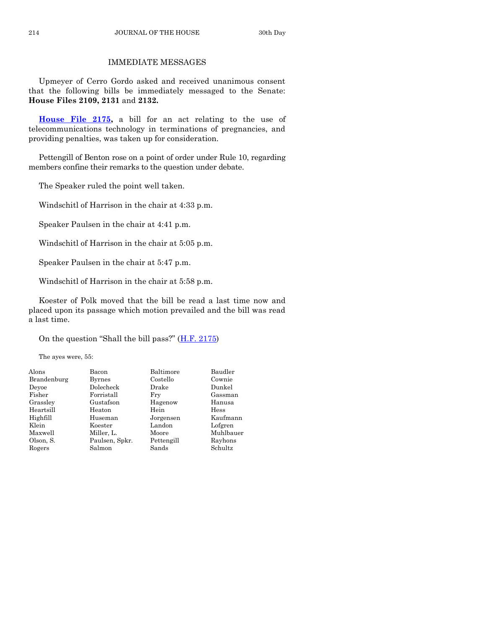# IMMEDIATE MESSAGES

Upmeyer of Cerro Gordo asked and received unanimous consent that the following bills be immediately messaged to the Senate: **House Files 2109, 2131** and **2132.**

**[House File 2175,](http://coolice.legis.iowa.gov/Cool-ICE/default.asp?Category=billinfo&Service=Billbook&frame=1&GA=85&hbill=HF2175)** a bill for an act relating to the use of telecommunications technology in terminations of pregnancies, and providing penalties, was taken up for consideration.

Pettengill of Benton rose on a point of order under Rule 10, regarding members confine their remarks to the question under debate.

The Speaker ruled the point well taken.

Windschitl of Harrison in the chair at 4:33 p.m.

Speaker Paulsen in the chair at 4:41 p.m.

Windschitl of Harrison in the chair at 5:05 p.m.

Speaker Paulsen in the chair at 5:47 p.m.

Windschitl of Harrison in the chair at 5:58 p.m.

Koester of Polk moved that the bill be read a last time now and placed upon its passage which motion prevailed and the bill was read a last time.

On the question "Shall the bill pass?"  $(H.F. 2175)$  $(H.F. 2175)$ 

The ayes were, 55:

| Alons       | Bacon          | Baltimore  | Baudler     |
|-------------|----------------|------------|-------------|
| Brandenburg | Byrnes         | Costello   | Cownie      |
| Devoe       | Dolecheck      | Drake      | Dunkel      |
| Fisher      | Forristall     | Fry        | Gassman     |
| Grassley    | Gustafson      | Hagenow    | Hanusa      |
| Heartsill   | Heaton         | Hein       | <b>Hess</b> |
| Highfill    | Huseman        | Jorgensen  | Kaufmann    |
| Klein       | Koester        | Landon     | Lofgren     |
| Maxwell     | Miller, L.     | Moore      | Muhlbauer   |
| Olson, S.   | Paulsen, Spkr. | Pettengill | Rayhons     |
| Rogers      | Salmon         | Sands      | Schultz     |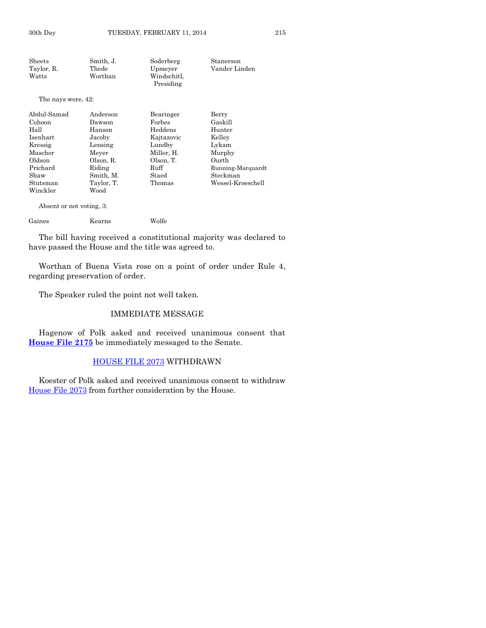| Sheets             | Smith, J.  | Soderberg   | Stanerson         |
|--------------------|------------|-------------|-------------------|
| Taylor, R.         | Thede      | Upmeyer     | Vander Linden     |
| Watts              | Worthan    | Windschitl, |                   |
|                    |            | Presiding   |                   |
| The nays were, 42: |            |             |                   |
| Abdul-Samad        | Anderson   | Bearinger   | Berry             |
| Cohoon             | Dawson     | Forbes      | Gaskill           |
| Hall               | Hanson     | Heddens     | Hunter            |
| Isenhart           | Jacoby     | Kajtazovic  | Kelley            |
| Kressig            | Lensing    | Lundby      | Lykam             |
| Mascher            | Meyer      | Miller, H.  | Murphy            |
| Oldson             | Olson, R.  | Olson, T.   | Ourth             |
| Prichard           | Riding     | Ruff        | Running-Marquardt |
| Shaw               | Smith, M.  | Staed       | Steckman          |
| Stutsman           | Taylor, T. | Thomas      | Wessel-Kroeschell |
| Winckler           | Wood       |             |                   |

Absent or not voting, 3:

Gaines Kearns Wolfe

The bill having received a constitutional majority was declared to have passed the House and the title was agreed to.

Worthan of Buena Vista rose on a point of order under Rule 4, regarding preservation of order.

The Speaker ruled the point not well taken.

# IMMEDIATE MESSAGE

Hagenow of Polk asked and received unanimous consent that **[House File 2175](http://coolice.legis.iowa.gov/Cool-ICE/default.asp?Category=billinfo&Service=Billbook&frame=1&GA=85&hbill=HF2175)** be immediately messaged to the Senate.

# [HOUSE FILE 2073](http://coolice.legis.iowa.gov/Cool-ICE/default.asp?Category=billinfo&Service=Billbook&frame=1&GA=85&hbill=HF2073) WITHDRAWN

Koester of Polk asked and received unanimous consent to withdraw [House File 2073](http://coolice.legis.iowa.gov/Cool-ICE/default.asp?Category=billinfo&Service=Billbook&frame=1&GA=85&hbill=HF2073) from further consideration by the House.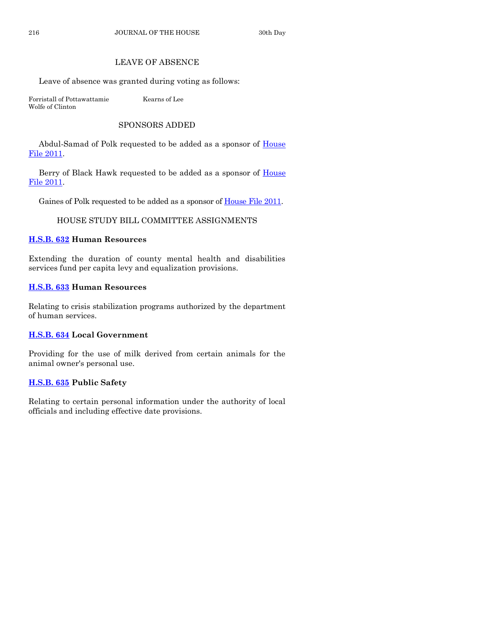# LEAVE OF ABSENCE

Leave of absence was granted during voting as follows:

Forristall of Pottawattamie Kearns of Lee Wolfe of Clinton

# SPONSORS ADDED

Abdul-Samad of Polk requested to be added as a sponsor of House [File 2011.](http://coolice.legis.iowa.gov/Cool-ICE/default.asp?Category=billinfo&Service=Billbook&frame=1&GA=85&hbill=HF2011)

Berry of Black Hawk requested to be added as a sponsor of **House** [File 2011.](http://coolice.legis.iowa.gov/Cool-ICE/default.asp?Category=billinfo&Service=Billbook&frame=1&GA=85&hbill=HF2011)

Gaines of Polk requested to be added as a sponsor o[f House File 2011.](http://coolice.legis.iowa.gov/Cool-ICE/default.asp?Category=billinfo&Service=Billbook&frame=1&GA=85&hbill=HF2011)

# HOUSE STUDY BILL COMMITTEE ASSIGNMENTS

# **[H.S.B. 632](http://coolice.legis.iowa.gov/Cool-ICE/default.asp?Category=billinfo&Service=Billbook&frame=1&GA=85&hbill=HSB632) Human Resources**

Extending the duration of county mental health and disabilities services fund per capita levy and equalization provisions.

# **[H.S.B. 633](http://coolice.legis.iowa.gov/Cool-ICE/default.asp?Category=billinfo&Service=Billbook&frame=1&GA=85&hbill=HSB633) Human Resources**

Relating to crisis stabilization programs authorized by the department of human services.

# **[H.S.B. 634](http://coolice.legis.iowa.gov/Cool-ICE/default.asp?Category=billinfo&Service=Billbook&frame=1&GA=85&hbill=HSB634) Local Government**

Providing for the use of milk derived from certain animals for the animal owner's personal use.

# **[H.S.B. 635](http://coolice.legis.iowa.gov/Cool-ICE/default.asp?Category=billinfo&Service=Billbook&frame=1&GA=85&hbill=HSB635) Public Safety**

Relating to certain personal information under the authority of local officials and including effective date provisions.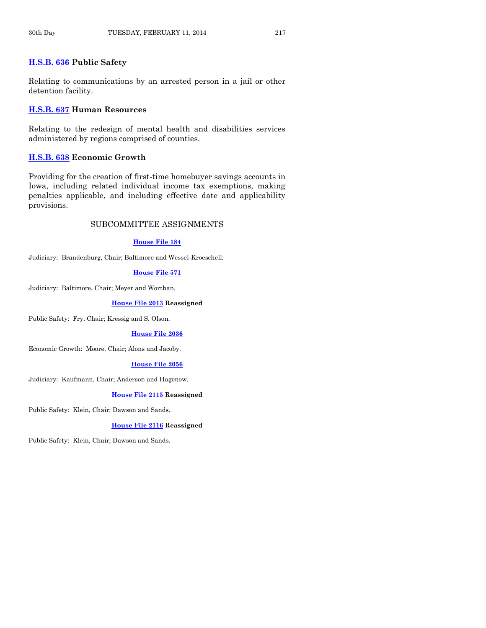# **[H.S.B. 636](http://coolice.legis.iowa.gov/Cool-ICE/default.asp?Category=billinfo&Service=Billbook&frame=1&GA=85&hbill=HSB636) Public Safety**

Relating to communications by an arrested person in a jail or other detention facility.

# **[H.S.B. 637](http://coolice.legis.iowa.gov/Cool-ICE/default.asp?Category=billinfo&Service=Billbook&frame=1&GA=85&hbill=HSB637) Human Resources**

Relating to the redesign of mental health and disabilities services administered by regions comprised of counties.

# **[H.S.B. 638](http://coolice.legis.iowa.gov/Cool-ICE/default.asp?Category=billinfo&Service=Billbook&frame=1&GA=85&hbill=HSB638) Economic Growth**

Providing for the creation of first-time homebuyer savings accounts in Iowa, including related individual income tax exemptions, making penalties applicable, and including effective date and applicability provisions.

# SUBCOMMITTEE ASSIGNMENTS

# **[House File 184](http://coolice.legis.iowa.gov/Cool-ICE/default.asp?Category=billinfo&Service=Billbook&frame=1&GA=85&hbill=HF184)**

Judiciary: Brandenburg, Chair; Baltimore and Wessel-Kroeschell.

# **[House File 571](http://coolice.legis.iowa.gov/Cool-ICE/default.asp?Category=billinfo&Service=Billbook&frame=1&GA=85&hbill=HF571)**

Judiciary: Baltimore, Chair; Meyer and Worthan.

#### **[House File 2013](http://coolice.legis.iowa.gov/Cool-ICE/default.asp?Category=billinfo&Service=Billbook&frame=1&GA=85&hbill=HF2013) Reassigned**

Public Safety: Fry, Chair; Kressig and S. Olson.

#### **[House File 2036](http://coolice.legis.iowa.gov/Cool-ICE/default.asp?Category=billinfo&Service=Billbook&frame=1&GA=85&hbill=HF2036)**

Economic Growth: Moore, Chair; Alons and Jacoby.

# **[House File 2056](http://coolice.legis.iowa.gov/Cool-ICE/default.asp?Category=billinfo&Service=Billbook&frame=1&GA=85&hbill=HF2056)**

Judiciary: Kaufmann, Chair; Anderson and Hagenow.

# **[House File 2115](http://coolice.legis.iowa.gov/Cool-ICE/default.asp?Category=billinfo&Service=Billbook&frame=1&GA=85&hbill=HF2115) Reassigned**

Public Safety: Klein, Chair; Dawson and Sands.

#### **[House File 2116](http://coolice.legis.iowa.gov/Cool-ICE/default.asp?Category=billinfo&Service=Billbook&frame=1&GA=85&hbill=HF2116) Reassigned**

Public Safety: Klein, Chair; Dawson and Sands.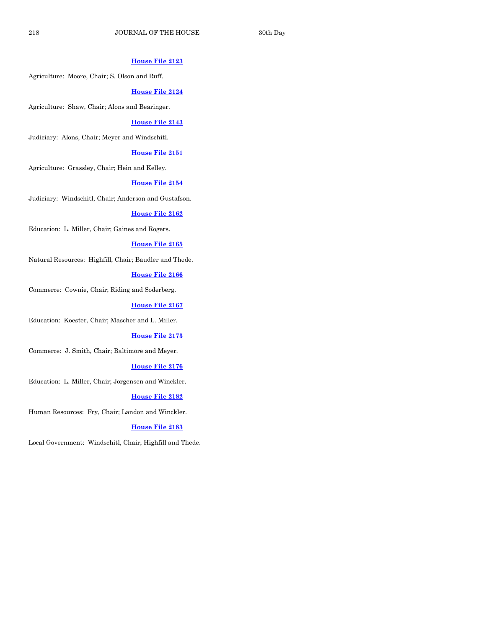# **[House File 2123](http://coolice.legis.iowa.gov/Cool-ICE/default.asp?Category=billinfo&Service=Billbook&frame=1&GA=85&hbill=HF2123)**

Agriculture: Moore, Chair; S. Olson and Ruff.

# **[House File 2124](http://coolice.legis.iowa.gov/Cool-ICE/default.asp?Category=billinfo&Service=Billbook&frame=1&GA=85&hbill=HF2124)**

Agriculture: Shaw, Chair; Alons and Bearinger.

# **[House File 2143](http://coolice.legis.iowa.gov/Cool-ICE/default.asp?Category=billinfo&Service=Billbook&frame=1&GA=85&hbill=HF2143)**

Judiciary: Alons, Chair; Meyer and Windschitl.

#### **[House File 2151](http://coolice.legis.iowa.gov/Cool-ICE/default.asp?Category=billinfo&Service=Billbook&frame=1&GA=85&hbill=HF2151)**

Agriculture: Grassley, Chair; Hein and Kelley.

# **[House File 2154](http://coolice.legis.iowa.gov/Cool-ICE/default.asp?Category=billinfo&Service=Billbook&frame=1&GA=85&hbill=HF2154)**

Judiciary: Windschitl, Chair; Anderson and Gustafson.

#### **[House File 2162](http://coolice.legis.iowa.gov/Cool-ICE/default.asp?Category=billinfo&Service=Billbook&frame=1&GA=85&hbill=HF2162)**

Education: L. Miller, Chair; Gaines and Rogers.

#### **[House File 2165](http://coolice.legis.iowa.gov/Cool-ICE/default.asp?Category=billinfo&Service=Billbook&frame=1&GA=85&hbill=HF2165)**

Natural Resources: Highfill, Chair; Baudler and Thede.

# **[House File 2166](http://coolice.legis.iowa.gov/Cool-ICE/default.asp?Category=billinfo&Service=Billbook&frame=1&GA=85&hbill=HF2166)**

Commerce: Cownie, Chair; Riding and Soderberg.

#### **[House File 2167](http://coolice.legis.iowa.gov/Cool-ICE/default.asp?Category=billinfo&Service=Billbook&frame=1&GA=85&hbill=HF2167)**

Education: Koester, Chair; Mascher and L. Miller.

#### **[House File 2173](http://coolice.legis.iowa.gov/Cool-ICE/default.asp?Category=billinfo&Service=Billbook&frame=1&GA=85&hbill=HF2173)**

Commerce: J. Smith, Chair; Baltimore and Meyer.

# **[House File 2176](http://coolice.legis.iowa.gov/Cool-ICE/default.asp?Category=billinfo&Service=Billbook&frame=1&GA=85&hbill=HF2176)**

Education: L. Miller, Chair; Jorgensen and Winckler.

#### **[House File 2182](http://coolice.legis.iowa.gov/Cool-ICE/default.asp?Category=billinfo&Service=Billbook&frame=1&GA=85&hbill=HF2182)**

Human Resources: Fry, Chair; Landon and Winckler.

#### **[House File 2183](http://coolice.legis.iowa.gov/Cool-ICE/default.asp?Category=billinfo&Service=Billbook&frame=1&GA=85&hbill=HF2183)**

Local Government: Windschitl, Chair; Highfill and Thede.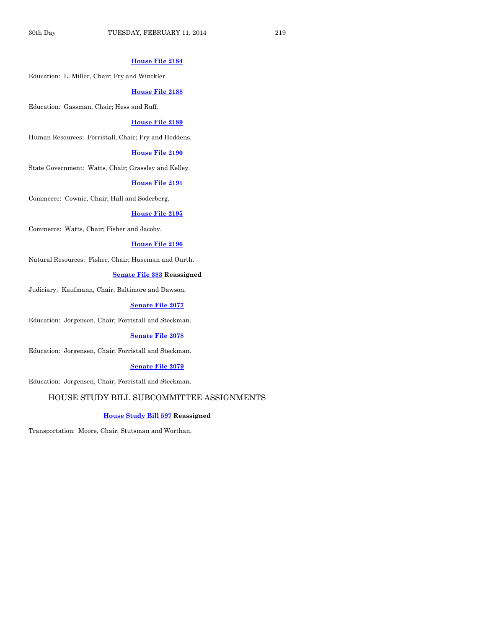# **[House File 2184](http://coolice.legis.iowa.gov/Cool-ICE/default.asp?Category=billinfo&Service=Billbook&frame=1&GA=85&hbill=HF2184)**

Education: L. Miller, Chair; Fry and Winckler.

#### **[House File 2188](http://coolice.legis.iowa.gov/Cool-ICE/default.asp?Category=billinfo&Service=Billbook&frame=1&GA=85&hbill=HF2188)**

Education: Gassman, Chair; Hess and Ruff.

#### **[House File 2189](http://coolice.legis.iowa.gov/Cool-ICE/default.asp?Category=billinfo&Service=Billbook&frame=1&GA=85&hbill=HF2189)**

Human Resources: Forristall, Chair; Fry and Heddens.

#### **[House File 2190](http://coolice.legis.iowa.gov/Cool-ICE/default.asp?Category=billinfo&Service=Billbook&frame=1&GA=85&hbill=HF2190)**

State Government: Watts, Chair; Grassley and Kelley.

#### **[House File 2191](http://coolice.legis.iowa.gov/Cool-ICE/default.asp?Category=billinfo&Service=Billbook&frame=1&GA=85&hbill=HF2191)**

Commerce: Cownie, Chair; Hall and Soderberg.

#### **[House File 2195](http://coolice.legis.iowa.gov/Cool-ICE/default.asp?Category=billinfo&Service=Billbook&frame=1&GA=85&hbill=HF2195)**

Commerce: Watts, Chair; Fisher and Jacoby.

#### **[House File 2196](http://coolice.legis.iowa.gov/Cool-ICE/default.asp?Category=billinfo&Service=Billbook&frame=1&GA=85&hbill=HF2196)**

Natural Resources: Fisher, Chair; Huseman and Ourth.

# **[Senate File 383](http://coolice.legis.iowa.gov/Cool-ICE/default.asp?Category=billinfo&Service=Billbook&frame=1&GA=85&hbill=SF383) Reassigned**

Judiciary: Kaufmann, Chair; Baltimore and Dawson.

#### **[Senate File 2077](http://coolice.legis.iowa.gov/Cool-ICE/default.asp?Category=billinfo&Service=Billbook&frame=1&GA=85&hbill=SF2077)**

Education: Jorgensen, Chair; Forristall and Steckman.

#### **[Senate File 2078](http://coolice.legis.iowa.gov/Cool-ICE/default.asp?Category=billinfo&Service=Billbook&frame=1&GA=85&hbill=SF2078)**

Education: Jorgensen, Chair; Forristall and Steckman.

# **[Senate File 2079](http://coolice.legis.iowa.gov/Cool-ICE/default.asp?Category=billinfo&Service=Billbook&frame=1&GA=85&hbill=SF2079)**

Education: Jorgensen, Chair; Forristall and Steckman.

# HOUSE STUDY BILL SUBCOMMITTEE ASSIGNMENTS

#### **[House Study Bill 597](http://coolice.legis.iowa.gov/Cool-ICE/default.asp?Category=billinfo&Service=Billbook&frame=1&GA=85&hbill=HSB597) Reassigned**

Transportation: Moore, Chair; Stutsman and Worthan.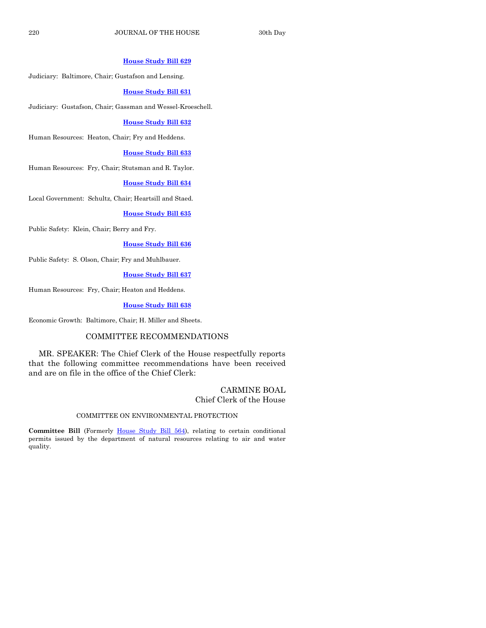# **[House Study Bill 629](http://coolice.legis.iowa.gov/Cool-ICE/default.asp?Category=billinfo&Service=Billbook&frame=1&GA=85&hbill=HSB629)**

Judiciary: Baltimore, Chair; Gustafson and Lensing.

#### **[House Study Bill 631](http://coolice.legis.iowa.gov/Cool-ICE/default.asp?Category=billinfo&Service=Billbook&frame=1&GA=85&hbill=HSB631)**

Judiciary: Gustafson, Chair; Gassman and Wessel-Kroeschell.

#### **[House Study Bill 632](http://coolice.legis.iowa.gov/Cool-ICE/default.asp?Category=billinfo&Service=Billbook&frame=1&GA=85&hbill=HSB632)**

Human Resources: Heaton, Chair; Fry and Heddens.

#### **[House Study Bill 633](http://coolice.legis.iowa.gov/Cool-ICE/default.asp?Category=billinfo&Service=Billbook&frame=1&GA=85&hbill=HSB633)**

Human Resources: Fry, Chair; Stutsman and R. Taylor.

#### **[House Study Bill 634](http://coolice.legis.iowa.gov/Cool-ICE/default.asp?Category=billinfo&Service=Billbook&frame=1&GA=85&hbill=HSB634)**

Local Government: Schultz, Chair; Heartsill and Staed.

# **[House Study Bill 635](http://coolice.legis.iowa.gov/Cool-ICE/default.asp?Category=billinfo&Service=Billbook&frame=1&GA=85&hbill=HSB635)**

Public Safety: Klein, Chair; Berry and Fry.

#### **[House Study Bill 636](http://coolice.legis.iowa.gov/Cool-ICE/default.asp?Category=billinfo&Service=Billbook&frame=1&GA=85&hbill=HSB636)**

Public Safety: S. Olson, Chair; Fry and Muhlbauer.

# **[House Study Bill 637](http://coolice.legis.iowa.gov/Cool-ICE/default.asp?Category=billinfo&Service=Billbook&frame=1&GA=85&hbill=HSB637)**

Human Resources: Fry, Chair; Heaton and Heddens.

#### **[House Study Bill 638](http://coolice.legis.iowa.gov/Cool-ICE/default.asp?Category=billinfo&Service=Billbook&frame=1&GA=85&hbill=HSB638)**

Economic Growth: Baltimore, Chair; H. Miller and Sheets.

# COMMITTEE RECOMMENDATIONS

MR. SPEAKER: The Chief Clerk of the House respectfully reports that the following committee recommendations have been received and are on file in the office of the Chief Clerk:

# CARMINE BOAL Chief Clerk of the House

#### COMMITTEE ON ENVIRONMENTAL PROTECTION

Committee Bill (Formerly [House Study Bill 564\)](http://coolice.legis.iowa.gov/Cool-ICE/default.asp?Category=billinfo&Service=Billbook&frame=1&GA=85&hbill=HSB564), relating to certain conditional permits issued by the department of natural resources relating to air and water quality.